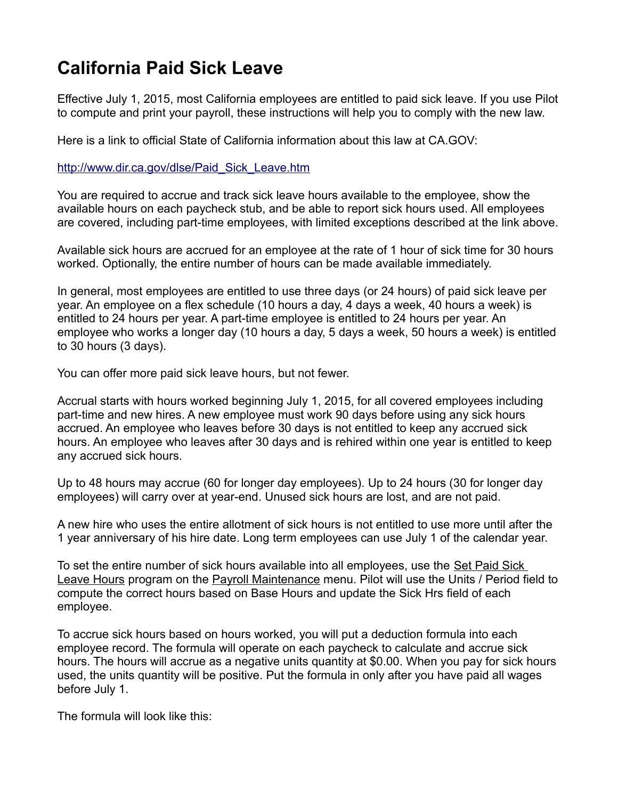## **California Paid Sick Leave**

Effective July 1, 2015, most California employees are entitled to paid sick leave. If you use Pilot to compute and print your payroll, these instructions will help you to comply with the new law.

Here is a link to official State of California information about this law at CA.GOV:

[http://www.dir.ca.gov/dlse/Paid\\_Sick\\_Leave.htm](http://www.dir.ca.gov/dlse/Paid_Sick_Leave.htm)

You are required to accrue and track sick leave hours available to the employee, show the available hours on each paycheck stub, and be able to report sick hours used. All employees are covered, including part-time employees, with limited exceptions described at the link above.

Available sick hours are accrued for an employee at the rate of 1 hour of sick time for 30 hours worked. Optionally, the entire number of hours can be made available immediately.

In general, most employees are entitled to use three days (or 24 hours) of paid sick leave per year. An employee on a flex schedule (10 hours a day, 4 days a week, 40 hours a week) is entitled to 24 hours per year. A part-time employee is entitled to 24 hours per year. An employee who works a longer day (10 hours a day, 5 days a week, 50 hours a week) is entitled to 30 hours (3 days).

You can offer more paid sick leave hours, but not fewer.

Accrual starts with hours worked beginning July 1, 2015, for all covered employees including part-time and new hires. A new employee must work 90 days before using any sick hours accrued. An employee who leaves before 30 days is not entitled to keep any accrued sick hours. An employee who leaves after 30 days and is rehired within one year is entitled to keep any accrued sick hours.

Up to 48 hours may accrue (60 for longer day employees). Up to 24 hours (30 for longer day employees) will carry over at year-end. Unused sick hours are lost, and are not paid.

A new hire who uses the entire allotment of sick hours is not entitled to use more until after the 1 year anniversary of his hire date. Long term employees can use July 1 of the calendar year.

To set the entire number of sick hours available into all employees, use the Set Paid Sick Leave Hours program on the Payroll Maintenance menu. Pilot will use the Units / Period field to compute the correct hours based on Base Hours and update the Sick Hrs field of each employee.

To accrue sick hours based on hours worked, you will put a deduction formula into each employee record. The formula will operate on each paycheck to calculate and accrue sick hours. The hours will accrue as a negative units quantity at \$0.00. When you pay for sick hours used, the units quantity will be positive. Put the formula in only after you have paid all wages before July 1.

The formula will look like this: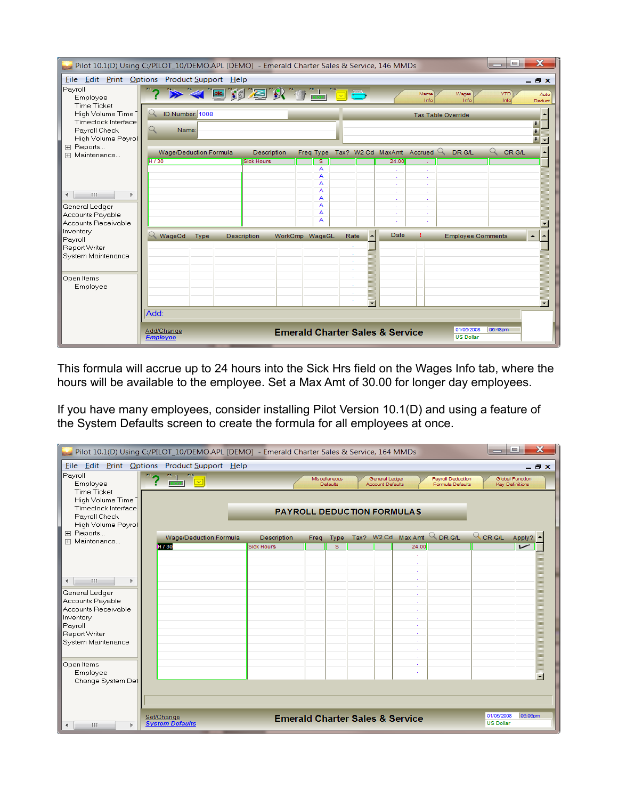| $\overline{\mathbf{x}}$<br>o<br>Pilot 10.1(D) Using C:/PILOT_10/DEMO.APL [DEMO] - Emerald Charter Sales & Service, 146 MMDs<br>$\sim$ |  |                                                            |      |  |                                |                |   |           |      |                             |                                            |                               |                          |                    |                                       |
|---------------------------------------------------------------------------------------------------------------------------------------|--|------------------------------------------------------------|------|--|--------------------------------|----------------|---|-----------|------|-----------------------------|--------------------------------------------|-------------------------------|--------------------------|--------------------|---------------------------------------|
| File Edit Print Options Product Support Help<br>$ $ Payroll<br>Employee<br><b>Time Ticket</b>                                         |  |                                                            |      |  | <u>&gt; &lt; ENZK + - e e </u> |                |   |           |      |                             |                                            | Name<br>Info                  | Wages<br>Info            | <b>YTD</b><br>Info | $ \exists$ $\times$<br>Auto<br>Deduct |
| High Volume Time<br>Timeclock Interface<br>Payroll Check<br>High Volume Payrol                                                        |  | ID Number: 1008<br><b>Tax Table Override</b><br>Q<br>Name: |      |  |                                |                |   |           |      |                             |                                            |                               |                          |                    | $\blacktriangle$<br>Ŧ.                |
| 田 Reports<br>田 Maintenance                                                                                                            |  | Wage/Deduction Formula                                     |      |  | <b>Description</b>             |                |   | Freq Type |      |                             |                                            | Tax? W2 Cd MaxAmt Accrued $Q$ | DR G/L                   | $\alpha$<br>CR G/L | $\overline{\phantom{0}}$              |
|                                                                                                                                       |  | H / 30                                                     |      |  | <b>Sick Hours</b>              |                |   | s         |      |                             | 24.00                                      |                               |                          |                    |                                       |
|                                                                                                                                       |  |                                                            |      |  |                                |                |   | А<br>А    |      |                             | $\sim$<br>×.                               | $\sim$<br>×.                  |                          |                    |                                       |
|                                                                                                                                       |  |                                                            |      |  |                                |                | A |           |      | ÷                           | $\mathcal{L}_{\mathcal{A}}$                |                               |                          |                    |                                       |
| $\mathbb{H} \mathbb{H}$<br>∢                                                                                                          |  |                                                            |      |  |                                |                |   | А         |      |                             | $\sim$                                     | $\sim$                        |                          |                    |                                       |
| General Ledger                                                                                                                        |  |                                                            |      |  |                                |                |   | А<br>A    |      |                             | a.<br>×.                                   | $\sim$<br>a.                  |                          |                    |                                       |
| Accounts Payable                                                                                                                      |  |                                                            |      |  |                                |                |   | А         |      |                             | ä,                                         | $\mathcal{L}_{\mathcal{A}}$   |                          |                    |                                       |
| Accounts Receivable                                                                                                                   |  |                                                            |      |  |                                |                |   | А         |      |                             | ×                                          |                               |                          |                    |                                       |
| Inventory                                                                                                                             |  | WageCd                                                     | Type |  | Description                    | WorkCmp WageGL |   |           | Rate |                             | <b>Date</b>                                |                               | <b>Employee Comments</b> |                    | $\blacktriangle$                      |
| Payroll<br>Report Writer                                                                                                              |  |                                                            |      |  |                                |                |   |           |      |                             |                                            |                               |                          |                    |                                       |
| System Maintenance                                                                                                                    |  |                                                            |      |  |                                |                |   |           |      |                             |                                            |                               |                          |                    |                                       |
|                                                                                                                                       |  |                                                            |      |  |                                |                |   |           |      | $\mathcal{L}$               |                                            |                               |                          |                    |                                       |
| Open Items                                                                                                                            |  |                                                            |      |  |                                |                |   |           |      | ×.<br>÷                     |                                            |                               |                          |                    |                                       |
| Employee                                                                                                                              |  |                                                            |      |  |                                |                |   |           |      | $\mathcal{L}_{\mathcal{A}}$ |                                            |                               |                          |                    |                                       |
|                                                                                                                                       |  |                                                            |      |  |                                |                |   |           |      | $\mathcal{L}_{\mathcal{A}}$ |                                            |                               |                          |                    |                                       |
|                                                                                                                                       |  |                                                            |      |  |                                |                |   |           |      | ×.<br>⋥                     |                                            |                               |                          |                    | $\blacksquare$                        |
|                                                                                                                                       |  | Add:                                                       |      |  |                                |                |   |           |      |                             |                                            |                               |                          |                    |                                       |
|                                                                                                                                       |  |                                                            |      |  |                                |                |   |           |      |                             |                                            |                               | 01/05/2008               | 05:48pm            |                                       |
|                                                                                                                                       |  | Add/Change<br><b>Employee</b>                              |      |  |                                |                |   |           |      |                             | <b>Emerald Charter Sales &amp; Service</b> |                               | <b>US Dollar</b>         |                    |                                       |
|                                                                                                                                       |  |                                                            |      |  |                                |                |   |           |      |                             |                                            |                               |                          |                    |                                       |

This formula will accrue up to 24 hours into the Sick Hrs field on the Wages Info tab, where the hours will be available to the employee. Set a Max Amt of 30.00 for longer day employees.

If you have many employees, consider installing Pilot Version 10.1(D) and using a feature of the System Defaults screen to create the formula for all employees at once.

| $\overline{\mathbf{x}}$<br>$\equiv$<br>Pilot 10.1(D) Using C:/PILOT_10/DEMO.APL [DEMO] - Emerald Charter Sales & Service, 164 MMDs |                        |                                   |                    |      |                                   |      |                                           |                                            |                                              |                  |                                    |
|------------------------------------------------------------------------------------------------------------------------------------|------------------------|-----------------------------------|--------------------|------|-----------------------------------|------|-------------------------------------------|--------------------------------------------|----------------------------------------------|------------------|------------------------------------|
| File Edit Print Options Product Support Help                                                                                       |                        |                                   |                    |      |                                   |      |                                           |                                            |                                              |                  | $ \exists$ $\times$                |
| $\mathbb{P}$ ayroll<br>Employee<br>Time Ticket                                                                                     | "? <del>" "</del> "    |                                   |                    |      | Mis cellaneous<br><b>Defaults</b> |      | General Ledger<br><b>Account Defaults</b> |                                            | <b>Payroll Deduction</b><br>Formula Defaults |                  | Global Function<br>Key Definitions |
| High Volume Time<br>Timeclock Interface<br>Payroll Check<br>High Volume Payrol                                                     |                        | <b>PAYROLL DEDUCTION FORMULAS</b> |                    |      |                                   |      |                                           |                                            |                                              |                  |                                    |
| 田 Reports                                                                                                                          | Wage/Deduction Formula |                                   | <b>Description</b> | Freq | Type                              | Tax? |                                           |                                            | W2 Cd Max Amt $Q_{DRGL}$                     | Q CR G/L         | Apply?                             |
| 田 Maintenance                                                                                                                      | H / 30                 |                                   | <b>Sick Hours</b>  |      | s.                                |      |                                           | 24.00                                      |                                              |                  |                                    |
|                                                                                                                                    |                        |                                   |                    |      |                                   |      |                                           |                                            |                                              |                  |                                    |
|                                                                                                                                    |                        |                                   |                    |      |                                   |      |                                           | ÷.                                         |                                              |                  |                                    |
| HH.<br>∢<br>Þ.                                                                                                                     |                        |                                   |                    |      |                                   |      |                                           | ÷.                                         |                                              |                  |                                    |
| General Ledger                                                                                                                     |                        |                                   |                    |      |                                   |      |                                           | ÷.                                         |                                              |                  |                                    |
| Accounts Payable                                                                                                                   |                        |                                   |                    |      |                                   |      |                                           |                                            |                                              |                  |                                    |
| Accounts Receivable                                                                                                                |                        |                                   |                    |      |                                   |      |                                           |                                            |                                              |                  |                                    |
| Inventory<br>Payroll                                                                                                               |                        |                                   |                    |      |                                   |      |                                           |                                            |                                              |                  |                                    |
| Report Writer                                                                                                                      |                        |                                   |                    |      |                                   |      |                                           |                                            |                                              |                  |                                    |
| System Maintenance                                                                                                                 |                        |                                   |                    |      |                                   |      |                                           |                                            |                                              |                  |                                    |
|                                                                                                                                    |                        |                                   |                    |      |                                   |      |                                           |                                            |                                              |                  |                                    |
| Open Items                                                                                                                         |                        |                                   |                    |      |                                   |      |                                           |                                            |                                              |                  |                                    |
| Employee                                                                                                                           |                        |                                   |                    |      |                                   |      |                                           |                                            |                                              |                  |                                    |
| Change System Def                                                                                                                  |                        |                                   |                    |      |                                   |      |                                           |                                            |                                              |                  |                                    |
|                                                                                                                                    |                        |                                   |                    |      |                                   |      |                                           |                                            |                                              |                  |                                    |
|                                                                                                                                    | Set/Change             |                                   |                    |      |                                   |      |                                           |                                            |                                              | 01/05/2008       | 06:06pm                            |
| $\mathbf{H}$<br>b.                                                                                                                 | <b>System Defaults</b> |                                   |                    |      |                                   |      |                                           | <b>Emerald Charter Sales &amp; Service</b> |                                              | <b>US Dollar</b> |                                    |